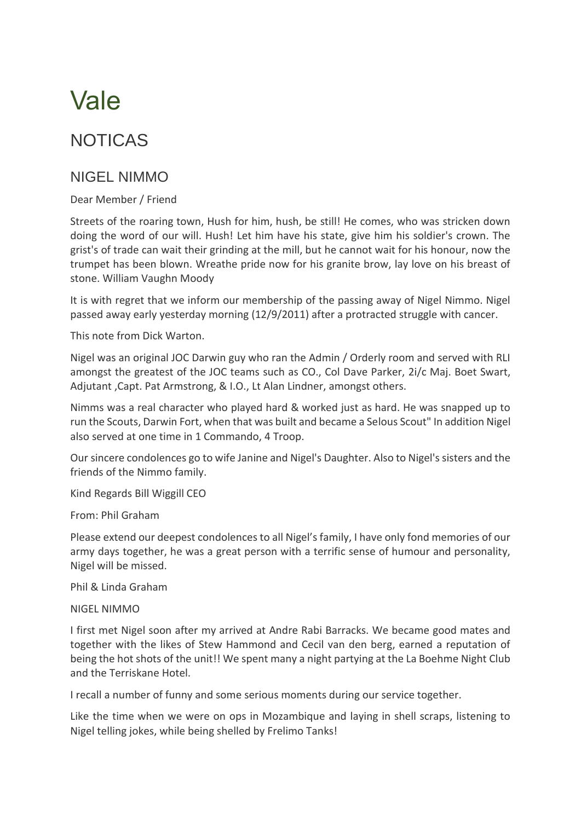## Vale

## NOTICAS

## NIGEL NIMMO

Dear Member / Friend

Streets of the roaring town, Hush for him, hush, be still! He comes, who was stricken down doing the word of our will. Hush! Let him have his state, give him his soldier's crown. The grist's of trade can wait their grinding at the mill, but he cannot wait for his honour, now the trumpet has been blown. Wreathe pride now for his granite brow, lay love on his breast of stone. William Vaughn Moody

It is with regret that we inform our membership of the passing away of Nigel Nimmo. Nigel passed away early yesterday morning (12/9/2011) after a protracted struggle with cancer.

This note from Dick Warton.

Nigel was an original JOC Darwin guy who ran the Admin / Orderly room and served with RLI amongst the greatest of the JOC teams such as CO., Col Dave Parker, 2i/c Maj. Boet Swart, Adjutant ,Capt. Pat Armstrong, & I.O., Lt Alan Lindner, amongst others.

Nimms was a real character who played hard & worked just as hard. He was snapped up to run the Scouts, Darwin Fort, when that was built and became a Selous Scout" In addition Nigel also served at one time in 1 Commando, 4 Troop.

Our sincere condolences go to wife Janine and Nigel's Daughter. Also to Nigel's sisters and the friends of the Nimmo family.

Kind Regards Bill Wiggill CEO

From: Phil Graham

Please extend our deepest condolences to all Nigel's family, I have only fond memories of our army days together, he was a great person with a terrific sense of humour and personality, Nigel will be missed.

Phil & Linda Graham

NIGEL NIMMO

I first met Nigel soon after my arrived at Andre Rabi Barracks. We became good mates and together with the likes of Stew Hammond and Cecil van den berg, earned a reputation of being the hot shots of the unit!! We spent many a night partying at the La Boehme Night Club and the Terriskane Hotel.

I recall a number of funny and some serious moments during our service together.

Like the time when we were on ops in Mozambique and laying in shell scraps, listening to Nigel telling jokes, while being shelled by Frelimo Tanks!